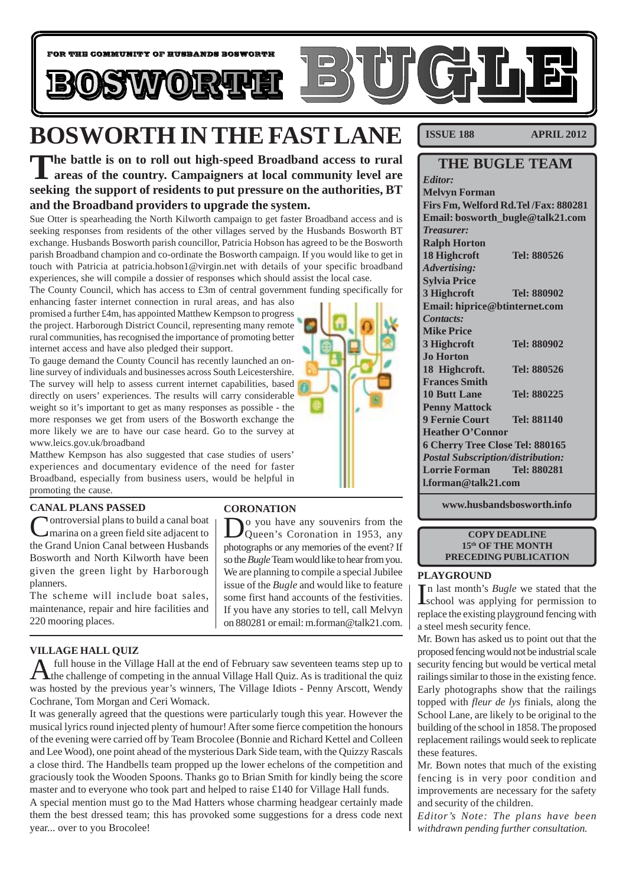

## **BOSWORTH IN THE FAST LANE**

**The battle is on to roll out high-speed Broadband access to rural areas of the country. Campaigners at local community level are seeking the support of residents to put pressure on the authorities, BT and the Broadband providers to upgrade the system.**

Sue Otter is spearheading the North Kilworth campaign to get faster Broadband access and is seeking responses from residents of the other villages served by the Husbands Bosworth BT exchange. Husbands Bosworth parish councillor, Patricia Hobson has agreed to be the Bosworth parish Broadband champion and co-ordinate the Bosworth campaign. If you would like to get in touch with Patricia at patricia.hobson1@virgin.net with details of your specific broadband experiences, she will compile a dossier of responses which should assist the local case.

The County Council, which has access to £3m of central government funding specifically for

enhancing faster internet connection in rural areas, and has also promised a further £4m, has appointed Matthew Kempson to progress the project. Harborough District Council, representing many remote rural communities, has recognised the importance of promoting better internet access and have also pledged their support.

To gauge demand the County Council has recently launched an online survey of individuals and businesses across South Leicestershire. The survey will help to assess current internet capabilities, based directly on users' experiences. The results will carry considerable weight so it's important to get as many responses as possible - the more responses we get from users of the Bosworth exchange the more likely we are to have our case heard. Go to the survey at www.leics.gov.uk/broadband

Matthew Kempson has also suggested that case studies of users' experiences and documentary evidence of the need for faster Broadband, especially from business users, would be helpful in promoting the cause.

#### **CANAL PLANS PASSED**

**Nontroversial plans to build a canal boat** marina on a green field site adjacent to the Grand Union Canal between Husbands Bosworth and North Kilworth have been given the green light by Harborough planners.

The scheme will include boat sales, maintenance, repair and hire facilities and 220 mooring places.

#### **VILLAGE HALL QUIZ**

A full house in the Village Hall at the end of February saw seventeen teams step up to the challenge of competing in the annual Village Hall Quiz. As is traditional the quiz was hosted by the previous year's winners, The Village Idiots - Penny Arscott, Wendy Cochrane, Tom Morgan and Ceri Womack.

It was generally agreed that the questions were particularly tough this year. However the musical lyrics round injected plenty of humour! After some fierce competition the honours of the evening were carried off by Team Brocolee (Bonnie and Richard Kettel and Colleen and Lee Wood), one point ahead of the mysterious Dark Side team, with the Quizzy Rascals a close third. The Handbells team propped up the lower echelons of the competition and graciously took the Wooden Spoons. Thanks go to Brian Smith for kindly being the score master and to everyone who took part and helped to raise £140 for Village Hall funds.

A special mention must go to the Mad Hatters whose charming headgear certainly made them the best dressed team; this has provoked some suggestions for a dress code next year... over to you Brocolee!

#### **CORONATION**

D<sub>Q</sub> you have any souvenirs from the Queen's Coronation in 1953, any photographs or any memories of the event? If so the *Bugle* Team would like to hear from you. We are planning to compile a special Jubilee issue of the *Bugle* and would like to feature some first hand accounts of the festivities. If you have any stories to tell, call Melvyn on 880281 or email: m.forman@talk21.com.

**ISSUE 188 APRIL 2012**

| <b>THE BUGLE TEAM</b>                    |             |
|------------------------------------------|-------------|
| Editor:                                  |             |
| <b>Melvyn Forman</b>                     |             |
| Firs Fm, Welford Rd. Tel /Fax: 880281    |             |
| Email: bosworth_bugle@talk21.com         |             |
| <b>Treasurer:</b>                        |             |
| <b>Ralph Horton</b>                      |             |
| 18 Highcroft                             | Tel: 880526 |
| <b>Advertising:</b>                      |             |
| <b>Sylvia Price</b>                      |             |
| 3 Highcroft                              | Tel: 880902 |
| Email: hiprice@btinternet.com            |             |
| Contacts:                                |             |
| <b>Mike Price</b>                        |             |
| 3 Highcroft                              | Tel: 880902 |
| <b>Jo Horton</b>                         |             |
| 18 Highcroft.                            | Tel: 880526 |
| <b>Frances Smith</b>                     |             |
| <b>10 Butt Lane</b>                      | Tel: 880225 |
| <b>Penny Mattock</b>                     |             |
| <b>9 Fernie Court</b>                    | Tel: 881140 |
| <b>Heather O'Connor</b>                  |             |
| 6 Cherry Tree Close Tel: 880165          |             |
| <b>Postal Subscription/distribution:</b> |             |
| <b>Lorrie Forman</b>                     | Tel: 880281 |
| <b>Lforman@talk21.com</b>                |             |

**www.husbandsbosworth.info**

#### **COPY DEADLINE 15th OF THE MONTH PRECEDING PUBLICATION**

#### **PLAYGROUND**

In last month's *Bugle* we stated that the school was applying for permission to school was applying for permission to replace the existing playground fencing with a steel mesh security fence.

Mr. Bown has asked us to point out that the proposed fencing would not be industrial scale security fencing but would be vertical metal railings similar to those in the existing fence. Early photographs show that the railings topped with *fleur de lys* finials, along the School Lane, are likely to be original to the building of the school in 1858. The proposed replacement railings would seek to replicate these features.

Mr. Bown notes that much of the existing fencing is in very poor condition and improvements are necessary for the safety and security of the children.

*Editor's Note: The plans have been withdrawn pending further consultation.*

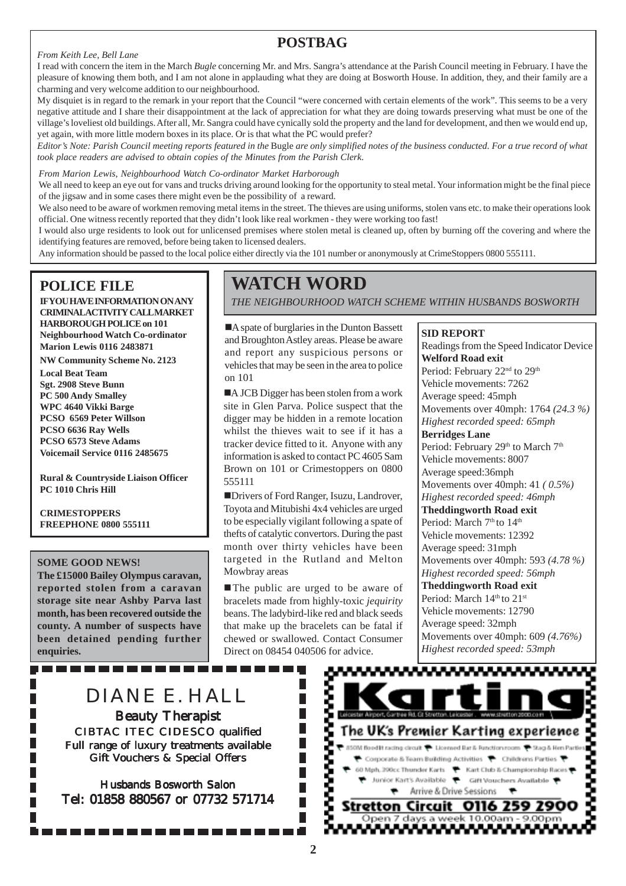## **POSTBAG**

#### *From Keith Lee, Bell Lane*

I read with concern the item in the March *Bugle* concerning Mr. and Mrs. Sangra's attendance at the Parish Council meeting in February. I have the pleasure of knowing them both, and I am not alone in applauding what they are doing at Bosworth House. In addition, they, and their family are a charming and very welcome addition to our neighbourhood.

My disquiet is in regard to the remark in your report that the Council "were concerned with certain elements of the work". This seems to be a very negative attitude and I share their disappointment at the lack of appreciation for what they are doing towards preserving what must be one of the village's loveliest old buildings. After all, Mr. Sangra could have cynically sold the property and the land for development, and then we would end up, yet again, with more little modern boxes in its place. Or is that what the PC would prefer?

*Editor's Note: Parish Council meeting reports featured in the* Bugle *are only simplified notes of the business conducted. For a true record of what took place readers are advised to obtain copies of the Minutes from the Parish Clerk.*

*From Marion Lewis, Neighbourhood Watch Co-ordinator Market Harborough*

We all need to keep an eye out for vans and trucks driving around looking for the opportunity to steal metal. Your information might be the final piece of the jigsaw and in some cases there might even be the possibility of a reward.

We also need to be aware of workmen removing metal items in the street. The thieves are using uniforms, stolen vans etc. to make their operations look official. One witness recently reported that they didn't look like real workmen - they were working too fast!

I would also urge residents to look out for unlicensed premises where stolen metal is cleaned up, often by burning off the covering and where the identifying features are removed, before being taken to licensed dealers.

Any information should be passed to the local police either directly via the 101 number or anonymously at CrimeStoppers 0800 555111.

## **POLICE FILE**

**IF YOU HAVE INFORMATION ON ANY CRIMINAL ACTIVITY CALL MARKET HARBOROUGH POLICE on 101 Neighbourhood Watch Co-ordinator Marion Lewis 0116 2483871**

**NW Community Scheme No. 2123 Local Beat Team Sgt. 2908 Steve Bunn PC 500 Andy Smalley WPC 4640 Vikki Barge PCSO 6569 Peter Willson PCSO 6636 Ray Wells PCSO 6573 Steve Adams Voicemail Service 0116 2485675**

**Rural & Countryside Liaison Officer PC 1010 Chris Hill**

**CRIMESTOPPERS FREEPHONE 0800 555111**

#### **SOME GOOD NEWS!**

**The £15000 Bailey Olympus caravan, reported stolen from a caravan storage site near Ashby Parva last month, has been recovered outside the county. A number of suspects have been detained pending further enquiries.**

## **WATCH WORD**

*THE NEIGHBOURHOOD WATCH SCHEME WITHIN HUSBANDS BOSWORTH*

**SID REPORT**

A spate of burglaries in the Dunton Bassett and Broughton Astley areas. Please be aware and report any suspicious persons or vehicles that may be seen in the area to police on 101

A JCB Digger has been stolen from a work site in Glen Parva. Police suspect that the digger may be hidden in a remote location whilst the thieves wait to see if it has a tracker device fitted to it. Anyone with any information is asked to contact PC 4605 Sam Brown on 101 or Crimestoppers on 0800 555111

!Drivers of Ford Ranger, Isuzu, Landrover, Toyota and Mitubishi 4x4 vehicles are urged to be especially vigilant following a spate of thefts of catalytic convertors. During the past month over thirty vehicles have been targeted in the Rutland and Melton Mowbray areas

■ The public are urged to be aware of bracelets made from highly-toxic *jequirity* beans. The ladybird-like red and black seeds that make up the bracelets can be fatal if chewed or swallowed. Contact Consumer Direct on 08454 040506 for advice.

Readings from the Speed Indicator Device **Welford Road exit** Period: February 22<sup>nd</sup> to 29<sup>th</sup> Vehicle movements: 7262 Average speed: 45mph Movements over 40mph: 1764 *(24.3 %) Highest recorded speed: 65mph* **Berridges Lane** Period: February 29<sup>th</sup> to March 7<sup>th</sup> Vehicle movements: 8007 Average speed:36mph Movements over 40mph: 41 *( 0.5%) Highest recorded speed: 46mph* **Theddingworth Road exit** Period: March 7<sup>th</sup> to 14<sup>th</sup> Vehicle movements: 12392 Average speed: 31mph Movements over 40mph: 593 *(4.78 %) Highest recorded speed: 56mph* **Theddingworth Road exit** Period: March 14th to 21st Vehicle movements: 12790 Average speed: 32mph Movements over 40mph: 609 *(4.76%) Highest recorded speed: 53mph*

## DIANE E. HALL

----------

**Beauty Therapist** CIBTAC ITEC CIDESCO qualified Full range of luxury treatments available Gift Vouchers & Special Offers

Husbands Bosworth Salon Tel: 01858 880567 or 07732 571714

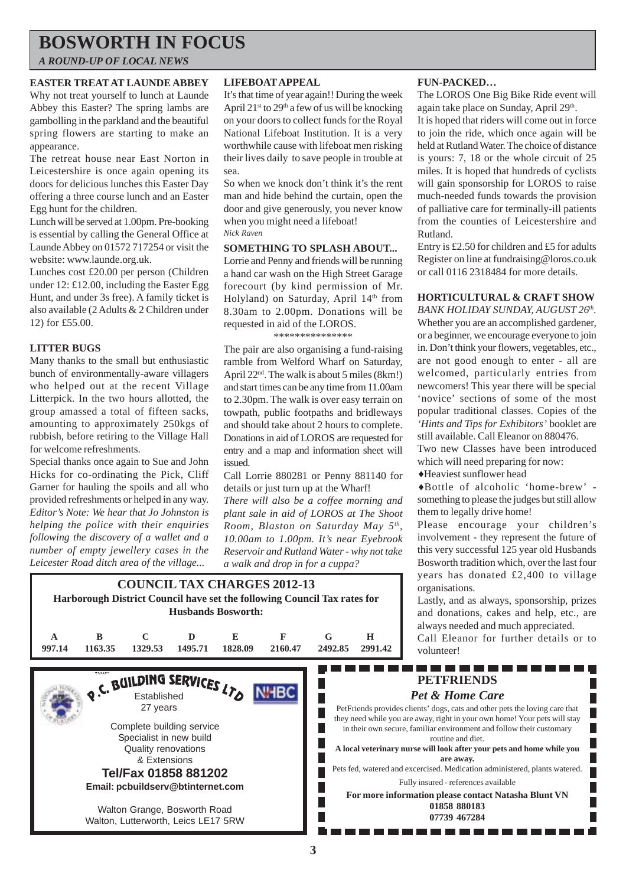## **BOSWORTH IN FOCUS**

*A ROUND-UP OF LOCAL NEWS*

#### **EASTER TREAT AT LAUNDE ABBEY**

Why not treat yourself to lunch at Launde Abbey this Easter? The spring lambs are gambolling in the parkland and the beautiful spring flowers are starting to make an appearance.

The retreat house near East Norton in Leicestershire is once again opening its doors for delicious lunches this Easter Day offering a three course lunch and an Easter Egg hunt for the children.

Lunch will be served at 1.00pm. Pre-booking is essential by calling the General Office at Launde Abbey on 01572 717254 or visit the website: www.launde.org.uk.

Lunches cost £20.00 per person (Children under 12: £12.00, including the Easter Egg Hunt, and under 3s free). A family ticket is also available (2 Adults & 2 Children under 12) for £55.00.

#### **LITTER BUGS**

Many thanks to the small but enthusiastic bunch of environmentally-aware villagers who helped out at the recent Village Litterpick. In the two hours allotted, the group amassed a total of fifteen sacks, amounting to approximately 250kgs of rubbish, before retiring to the Village Hall for welcome refreshments.

Special thanks once again to Sue and John Hicks for co-ordinating the Pick, Cliff Garner for hauling the spoils and all who provided refreshments or helped in any way. *Editor's Note: We hear that Jo Johnston is helping the police with their enquiries following the discovery of a wallet and a number of empty jewellery cases in the Leicester Road ditch area of the village...*

#### **LIFEBOAT APPEAL**

It's that time of year again!! During the week April  $21^{st}$  to  $29^{th}$  a few of us will be knocking on your doors to collect funds for the Royal National Lifeboat Institution. It is a very worthwhile cause with lifeboat men risking their lives daily to save people in trouble at sea.

So when we knock don't think it's the rent man and hide behind the curtain, open the door and give generously, you never know when you might need a lifeboat! *Nick Raven*

#### **SOMETHING TO SPLASH ABOUT...**

Lorrie and Penny and friends will be running a hand car wash on the High Street Garage forecourt (by kind permission of Mr. Holyland) on Saturday, April 14<sup>th</sup> from 8.30am to 2.00pm. Donations will be requested in aid of the LOROS.

\*\*\*\*\*\*\*\*\*\*\*\*\*\*\*

The pair are also organising a fund-raising ramble from Welford Wharf on Saturday, April 22<sup>nd</sup>. The walk is about 5 miles (8km!) and start times can be any time from 11.00am to 2.30pm. The walk is over easy terrain on towpath, public footpaths and bridleways and should take about 2 hours to complete. Donations in aid of LOROS are requested for entry and a map and information sheet will issued.

Call Lorrie 880281 or Penny 881140 for details or just turn up at the Wharf!

*There will also be a coffee morning and plant sale in aid of LOROS at The Shoot Room, Blaston on Saturday May 5th, 10.00am to 1.00pm. It's near Eyebrook Reservoir and Rutland Water - why not take a walk and drop in for a cuppa?*

#### **COUNCIL TAX CHARGES 2012-13 Harborough District Council have set the following Council Tax rates for Husbands Bosworth: A B C D E F G H 997.14 1163.35 1329.53 1495.71 1828.09 2160.47 2492.85 2991.42** --------------RUILDING SERVICES LTD П **NHBC** *Pet & Home Care* П 27 years PetFriends provides clients' dogs, cats and other pets the loving care that Г they need while you are away, right in your own home! Your pets will stay Complete building service Г in their own secure, familiar environment and follow their customary Specialist in new build Г Quality renovations **A local veterinary nurse will look after your pets and home while you** Г & Extensions Pets fed, watered and excercised. Medication administered, plants watered. **Tel/Fax 01858 881202** Fully insured - references available **Email: pcbuildserv@btinternet.com For more information please contact Natasha Blunt VN** Walton Grange, Bosworth Road

Walton, Lutterworth, Leics LE17 5RW

#### **FUN-PACKED…**

The LOROS One Big Bike Ride event will again take place on Sunday, April 29th.

It is hoped that riders will come out in force to join the ride, which once again will be held at Rutland Water. The choice of distance is yours: 7, 18 or the whole circuit of 25 miles. It is hoped that hundreds of cyclists will gain sponsorship for LOROS to raise much-needed funds towards the provision of palliative care for terminally-ill patients from the counties of Leicestershire and Rutland.

Entry is £2.50 for children and £5 for adults Register on line at fundraising@loros.co.uk or call 0116 2318484 for more details.

#### **HORTICULTURAL & CRAFT SHOW**

*BANK HOLIDAY SUNDAY, AUGUST 26th.* Whether you are an accomplished gardener, or a beginner, we encourage everyone to join in. Don't think your flowers, vegetables, etc., are not good enough to enter - all are welcomed, particularly entries from newcomers! This year there will be special 'novice' sections of some of the most popular traditional classes. Copies of the *'Hints and Tips for Exhibitors'* booklet are still available. Call Eleanor on 880476.

Two new Classes have been introduced which will need preparing for now:

 $\triangle$  Heaviest sunflower head

**PETFRIENDS**

routine and diet.

**are away.**

**01858 880183 07739 467284**

♦Bottle of alcoholic 'home-brew' something to please the judges but still allow them to legally drive home!

Please encourage your children's involvement - they represent the future of this very successful 125 year old Husbands Bosworth tradition which, over the last four years has donated £2,400 to village organisations.

Lastly, and as always, sponsorship, prizes and donations, cakes and help, etc., are always needed and much appreciated.

Call Eleanor for further details or to volunteer!

П

П

**3**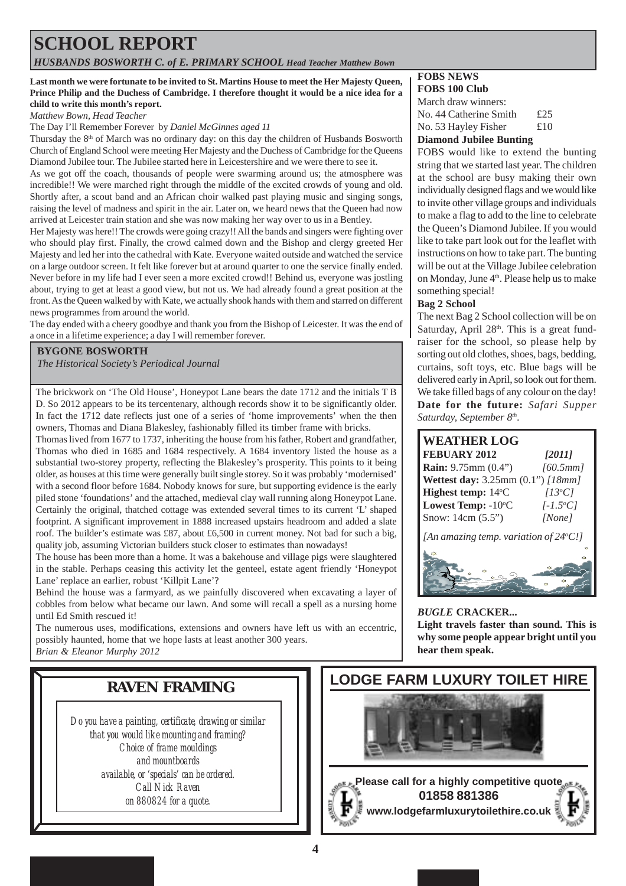## **SCHOOL REPORT**

*HUSBANDS BOSWORTH C. of E. PRIMARY SCHOOL Head Teacher Matthew Bown*

#### **Last month we were fortunate to be invited to St. Martins House to meet the Her Majesty Queen, Prince Philip and the Duchess of Cambridge. I therefore thought it would be a nice idea for a child to write this month's report.**

*Matthew Bown, Head Teacher*

The Day I'll Remember Forever by *Daniel McGinnes aged 11*

Thursday the 8th of March was no ordinary day: on this day the children of Husbands Bosworth Church of England School were meeting Her Majesty and the Duchess of Cambridge for the Queens Diamond Jubilee tour. The Jubilee started here in Leicestershire and we were there to see it.

As we got off the coach, thousands of people were swarming around us; the atmosphere was incredible!! We were marched right through the middle of the excited crowds of young and old. Shortly after, a scout band and an African choir walked past playing music and singing songs, raising the level of madness and spirit in the air. Later on, we heard news that the Queen had now arrived at Leicester train station and she was now making her way over to us in a Bentley.

Her Majesty was here!! The crowds were going crazy!! All the bands and singers were fighting over who should play first. Finally, the crowd calmed down and the Bishop and clergy greeted Her Majesty and led her into the cathedral with Kate. Everyone waited outside and watched the service on a large outdoor screen. It felt like forever but at around quarter to one the service finally ended. Never before in my life had I ever seen a more excited crowd!! Behind us, everyone was jostling about, trying to get at least a good view, but not us. We had already found a great position at the front. As the Queen walked by with Kate, we actually shook hands with them and starred on different news programmes from around the world.

The day ended with a cheery goodbye and thank you from the Bishop of Leicester. It was the end of a once in a lifetime experience; a day I will remember forever.

#### **BYGONE BOSWORTH**

*The Historical Society's Periodical Journal*

The brickwork on 'The Old House', Honeypot Lane bears the date 1712 and the initials T B D. So 2012 appears to be its tercentenary, although records show it to be significantly older. In fact the 1712 date reflects just one of a series of 'home improvements' when the then owners, Thomas and Diana Blakesley, fashionably filled its timber frame with bricks.

Thomas lived from 1677 to 1737, inheriting the house from his father, Robert and grandfather, Thomas who died in 1685 and 1684 respectively. A 1684 inventory listed the house as a substantial two-storey property, reflecting the Blakesley's prosperity. This points to it being older, as houses at this time were generally built single storey. So it was probably 'modernised' with a second floor before 1684. Nobody knows for sure, but supporting evidence is the early piled stone 'foundations' and the attached, medieval clay wall running along Honeypot Lane. Certainly the original, thatched cottage was extended several times to its current 'L' shaped footprint. A significant improvement in 1888 increased upstairs headroom and added a slate roof. The builder's estimate was £87, about £6,500 in current money. Not bad for such a big, quality job, assuming Victorian builders stuck closer to estimates than nowadays!

The house has been more than a home. It was a bakehouse and village pigs were slaughtered in the stable. Perhaps ceasing this activity let the genteel, estate agent friendly 'Honeypot Lane' replace an earlier, robust 'Killpit Lane'?

Behind the house was a farmyard, as we painfully discovered when excavating a layer of cobbles from below what became our lawn. And some will recall a spell as a nursing home until Ed Smith rescued it!

The numerous uses, modifications, extensions and owners have left us with an eccentric, possibly haunted, home that we hope lasts at least another 300 years. *Brian & Eleanor Murphy 2012*

## **RAVEN FRAMING**

*Do you have a painting, certificate, drawing or similar that you would like mounting and framing? Choice of frame mouldings and mountboards available, or 'specials' can be ordered. Call Nick Raven on 880824 for a quote.*

#### **FOBS NEWS FOBS 100 Club** March draw winners:

| No. 44 Catherine Smith   | £25 |
|--------------------------|-----|
| No. 53 Hayley Fisher     | £10 |
| Diamand Likilaa Diintina |     |

#### **Diamond Jubilee Bunting**

FOBS would like to extend the bunting string that we started last year. The children at the school are busy making their own individually designed flags and we would like to invite other village groups and individuals to make a flag to add to the line to celebrate the Queen's Diamond Jubilee. If you would like to take part look out for the leaflet with instructions on how to take part. The bunting will be out at the Village Jubilee celebration on Monday, June 4<sup>th</sup>. Please help us to make something special!

#### **Bag 2 School**

The next Bag 2 School collection will be on Saturday, April  $28<sup>th</sup>$ . This is a great fundraiser for the school, so please help by sorting out old clothes, shoes, bags, bedding, curtains, soft toys, etc. Blue bags will be delivered early in April, so look out for them. We take filled bags of any colour on the day! **Date for the future:** *Safari Supper Saturday, September 8th.*



#### *BUGLE* **CRACKER... Light travels faster than sound. This is why some people appear bright until you hear them speak.**

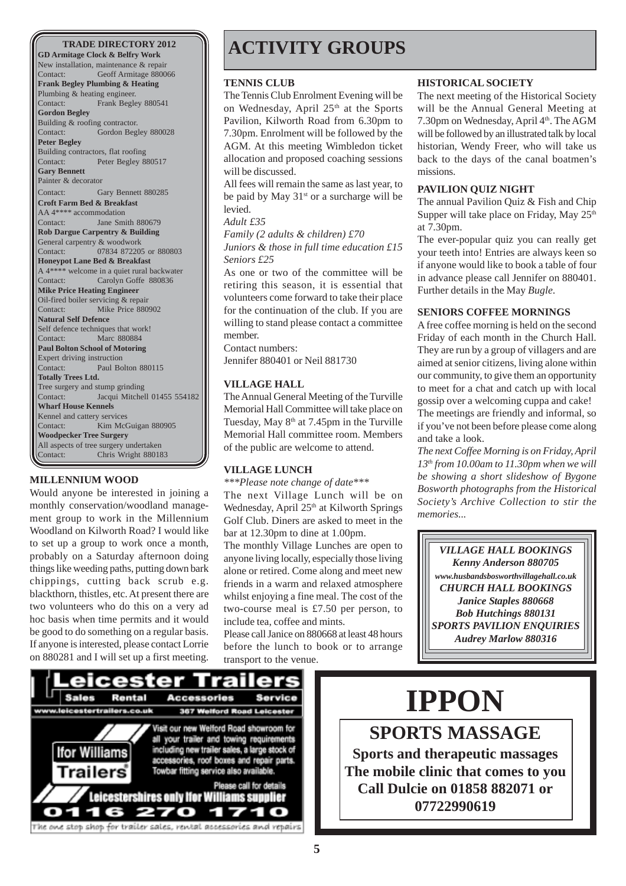**GD Armitage Clock & Belfry Work** New installation, maintenance & repair Contact: Geoff Armitage 880066 **Frank Begley Plumbing & Heating** Plumbing & heating engineer. Contact: Frank Begley 880541 **Gordon Begley** Building & roofing contractor. Contact: Gordon Begley 880028 **Peter Begley** Building contractors, flat roofing Contact: Peter Begley 880517 **Gary Bennett** Painter & decorator Contact: Gary Bennett 880285 **Croft Farm Bed & Breakfast** AA 4\*\*\*\* accommodation Contact: Jane Smith 880679 **Rob Dargue Carpentry & Building** General carpentry & woodwork Contact: 07834 872205 or 880803 **Honeypot Lane Bed & Breakfast** A 4\*\*\*\* welcome in a quiet rural backwater Contact: Carolyn Goffe 880836 **Mike Price Heating Engineer** Oil-fired boiler servicing & repair Contact: Mike Price 880902 **Natural Self Defence** Self defence techniques that work! Contact: Marc 880884 **Paul Bolton School of Motoring** Expert driving instruction Contact: Paul Bolton 880115 **Totally Trees Ltd.** Tree surgery and stump grinding Contact: Jacqui Mitchell 01455 554182 **Wharf House Kennels** Kennel and cattery services Contact: Kim McGuigan 880905 **Woodpecker Tree Surgery** All aspects of tree surgery undertaken<br>Contact: Chris Wright 88018 Chris Wright 880183

#### **MILLENNIUM WOOD**

Would anyone be interested in joining a monthly conservation/woodland management group to work in the Millennium Woodland on Kilworth Road? I would like to set up a group to work once a month, probably on a Saturday afternoon doing things like weeding paths, putting down bark chippings, cutting back scrub e.g. blackthorn, thistles, etc. At present there are two volunteers who do this on a very ad hoc basis when time permits and it would be good to do something on a regular basis. If anyone is interested, please contact Lorrie on 880281 and I will set up a first meeting.

## **ACTIVITY GROUPS**

#### **TENNIS CLUB**

The Tennis Club Enrolment Evening will be on Wednesday, April 25<sup>th</sup> at the Sports Pavilion, Kilworth Road from 6.30pm to 7.30pm. Enrolment will be followed by the AGM. At this meeting Wimbledon ticket allocation and proposed coaching sessions will be discussed.

All fees will remain the same as last year, to be paid by May  $31<sup>st</sup>$  or a surcharge will be levied.

#### *Adult £35*

*Family (2 adults & children) £70*

*Juniors & those in full time education £15 Seniors £25*

As one or two of the committee will be retiring this season, it is essential that volunteers come forward to take their place for the continuation of the club. If you are willing to stand please contact a committee member.

Contact numbers: Jennifer 880401 or Neil 881730

#### **VILLAGE HALL**

The Annual General Meeting of the Turville Memorial Hall Committee will take place on Tuesday, May  $8<sup>th</sup>$  at 7.45pm in the Turville Memorial Hall committee room. Members of the public are welcome to attend.

#### **VILLAGE LUNCH**

*\*\*\*Please note change of date\*\*\**

The next Village Lunch will be on Wednesday, April 25<sup>th</sup> at Kilworth Springs Golf Club. Diners are asked to meet in the bar at 12.30pm to dine at 1.00pm.

The monthly Village Lunches are open to anyone living locally, especially those living alone or retired. Come along and meet new friends in a warm and relaxed atmosphere whilst enjoying a fine meal. The cost of the two-course meal is £7.50 per person, to include tea, coffee and mints.

Please call Janice on 880668 at least 48 hours before the lunch to book or to arrange transport to the venue.

#### **HISTORICAL SOCIETY**

The next meeting of the Historical Society will be the Annual General Meeting at 7.30pm on Wednesday, April 4<sup>th</sup>. The AGM will be followed by an illustrated talk by local historian, Wendy Freer, who will take us back to the days of the canal boatmen's missions.

#### **PAVILION QUIZ NIGHT**

The annual Pavilion Quiz & Fish and Chip Supper will take place on Friday, May  $25<sup>th</sup>$ at 7.30pm.

The ever-popular quiz you can really get your teeth into! Entries are always keen so if anyone would like to book a table of four in advance please call Jennifer on 880401. Further details in the May *Bugle*.

#### **SENIORS COFFEE MORNINGS**

A free coffee morning is held on the second Friday of each month in the Church Hall. They are run by a group of villagers and are aimed at senior citizens, living alone within our community, to give them an opportunity to meet for a chat and catch up with local gossip over a welcoming cuppa and cake! The meetings are friendly and informal, so if you've not been before please come along and take a look.

*The next Coffee Morning is on Friday, April 13th from 10.00am to 11.30pm when we will be showing a short slideshow of Bygone Bosworth photographs from the Historical Society's Archive Collection to stir the memories...*

*VILLAGE HALL BOOKINGS Kenny Anderson 880705 www.husbandsbosworthvillagehall.co.uk CHURCH HALL BOOKINGS Janice Staples 880668 Bob Hutchings 880131 SPORTS PAVILION ENQUIRIES Audrey Marlow 880316*



# **IPPON**

**SPORTS MASSAGE Sports and therapeutic massages The mobile clinic that comes to you Call Dulcie on 01858 882071 or 07722990619**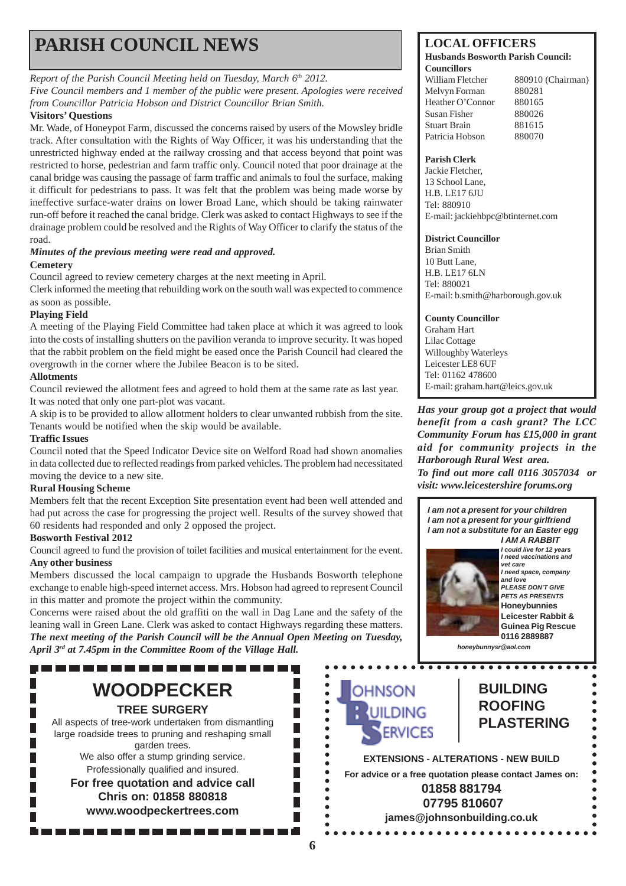## **PARISH COUNCIL NEWS** LOCAL OFFICERS

#### *Report of the Parish Council Meeting held on Tuesday, March 6<sup>th</sup> 2012.*

*Five Council members and 1 member of the public were present. Apologies were received from Councillor Patricia Hobson and District Councillor Brian Smith.*

#### **Visitors' Questions**

Mr. Wade, of Honeypot Farm, discussed the concerns raised by users of the Mowsley bridle track. After consultation with the Rights of Way Officer, it was his understanding that the unrestricted highway ended at the railway crossing and that access beyond that point was restricted to horse, pedestrian and farm traffic only. Council noted that poor drainage at the canal bridge was causing the passage of farm traffic and animals to foul the surface, making it difficult for pedestrians to pass. It was felt that the problem was being made worse by ineffective surface-water drains on lower Broad Lane, which should be taking rainwater run-off before it reached the canal bridge. Clerk was asked to contact Highways to see if the drainage problem could be resolved and the Rights of Way Officer to clarify the status of the road.

#### *Minutes of the previous meeting were read and approved.* **Cemetery**

Council agreed to review cemetery charges at the next meeting in April.

Clerk informed the meeting that rebuilding work on the south wall was expected to commence as soon as possible.

#### **Playing Field**

A meeting of the Playing Field Committee had taken place at which it was agreed to look into the costs of installing shutters on the pavilion veranda to improve security. It was hoped that the rabbit problem on the field might be eased once the Parish Council had cleared the overgrowth in the corner where the Jubilee Beacon is to be sited.

#### **Allotments**

Council reviewed the allotment fees and agreed to hold them at the same rate as last year. It was noted that only one part-plot was vacant.

A skip is to be provided to allow allotment holders to clear unwanted rubbish from the site. Tenants would be notified when the skip would be available.

#### **Traffic Issues**

Council noted that the Speed Indicator Device site on Welford Road had shown anomalies in data collected due to reflected readings from parked vehicles. The problem had necessitated moving the device to a new site.

#### **Rural Housing Scheme**

Members felt that the recent Exception Site presentation event had been well attended and had put across the case for progressing the project well. Results of the survey showed that 60 residents had responded and only 2 opposed the project.

#### **Bosworth Festival 2012**

Council agreed to fund the provision of toilet facilities and musical entertainment for the event. **Any other business**

Members discussed the local campaign to upgrade the Husbands Bosworth telephone exchange to enable high-speed internet access. Mrs. Hobson had agreed to represent Council in this matter and promote the project within the community.

Concerns were raised about the old graffiti on the wall in Dag Lane and the safety of the leaning wall in Green Lane. Clerk was asked to contact Highways regarding these matters. *The next meeting of the Parish Council will be the Annual Open Meeting on Tuesday, April 3rd at 7.45pm in the Committee Room of the Village Hall.*

## **WOODPECKER TREE SURGERY**

All aspects of tree-work undertaken from dismantling large roadside trees to pruning and reshaping small garden trees. We also offer a stump grinding service.

Professionally qualified and insured. **For free quotation and advice call Chris on: 01858 880818**

**www.woodpeckertrees.com**

#### **Husbands Bosworth Parish Council: Councillors**

Melvyn Forman 880281 Heather O'Connor 880165 Susan Fisher 880026 Stuart Brain 881615 Patricia Hobson 880070

William Fletcher 880910 (Chairman)

#### **Parish Clerk**

Jackie Fletcher, 13 School Lane, H.B. LE17 6JU Tel: 880910 E-mail: jackiehbpc@btinternet.com

#### **District Councillor**

Brian Smith 10 Butt Lane, H.B. LE17 6LN Tel: 880021 E-mail: b.smith@harborough.gov.uk

#### **County Councillor**

Graham Hart Lilac Cottage Willoughby Waterleys Leicester LE8 6UF Tel: 01162 478600 E-mail: graham.hart@leics.gov.uk

*Has your group got a project that would benefit from a cash grant? The LCC Community Forum has £15,000 in grant aid for community projects in the Harborough Rural West area. To find out more call 0116 3057034 or visit: www.leicestershire forums.org*

*I am not a present for your children I am not a present for your girlfriend I am not a substitute for an Easter egg I AM A RABBIT*



*I could live for 12 years I need vaccinations and vet care I need space, company and love PLEASE DON'T GIVE PETS AS PRESENTS* **Honeybunnies Leicester Rabbit & Guinea Pig Rescue 0116 2889887**

*honeybunnysr@aol.com*

# **OHNSON ERVICES**

### **BUILDING ROOFING PLASTERING**

**EXTENSIONS - ALTERATIONS - NEW BUILD For advice or a free quotation please contact James on: 01858 881794 07795 810607 james@johnsonbuilding.co.uk**

П

П

П

F

 $\bullet$ 

 $\bullet$ 

 $\bullet$ 

 $\bullet$  $\bullet$  $\bullet$  $\bullet$  $\ddot{\phantom{a}}$  $\bullet$  $\bullet$  $\bullet$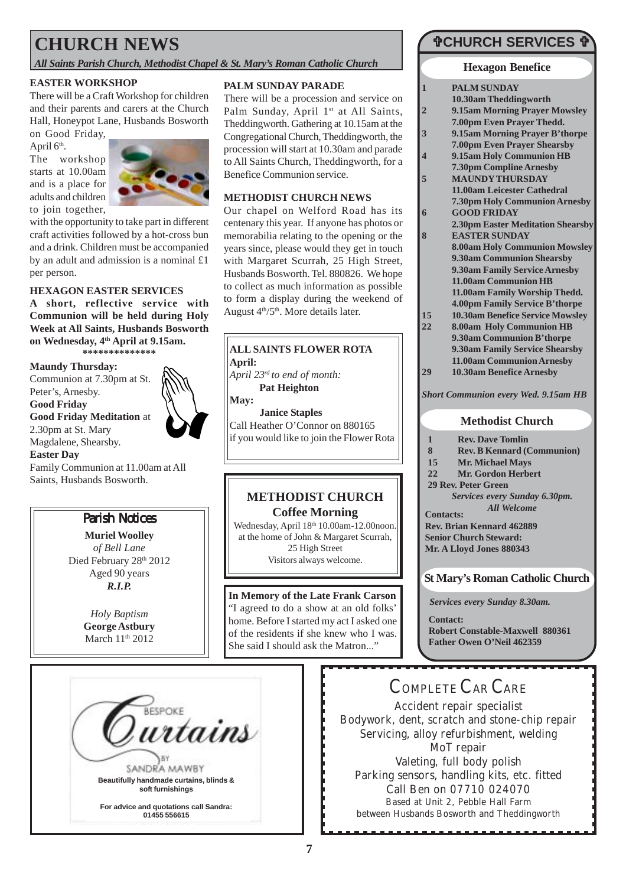## **CHURCH NEWS**

*All Saints Parish Church, Methodist Chapel & St. Mary's Roman Catholic Church*

#### **EASTER WORKSHOP**

There will be a Craft Workshop for children and their parents and carers at the Church Hall, Honeypot Lane, Husbands Bosworth on Good Friday,

April 6<sup>th</sup>. The workshop starts at 10.00am and is a place for adults and children



with the opportunity to take part in different craft activities followed by a hot-cross bun and a drink. Children must be accompanied by an adult and admission is a nominal £1 per person.

#### **HEXAGON EASTER SERVICES**

**A short, reflective service with Communion will be held during Holy Week at All Saints, Husbands Bosworth on Wednesday, 4th April at 9.15am. \*\*\*\*\*\*\*\*\*\*\*\*\*\***

**Maundy Thursday:**

Communion at 7.30pm at St. Peter's, Arnesby. **Good Friday Good Friday Meditation** at 2.30pm at St. Mary Magdalene, Shearsby. **Easter Day**

Family Communion at 11.00am at All Saints, Husbands Bosworth.

#### Parish Notices

**Muriel Woolley** *of Bell Lane* Died February 28<sup>th</sup> 2012 Aged 90 years *R.I.P.*

> *Holy Baptism* **George Astbury** March 11<sup>th</sup> 2012

#### **PALM SUNDAY PARADE**

There will be a procession and service on Palm Sunday, April 1<sup>st</sup> at All Saints, Theddingworth. Gathering at 10.15am at the Congregational Church, Theddingworth, the procession will start at 10.30am and parade to All Saints Church, Theddingworth, for a Benefice Communion service.

#### **METHODIST CHURCH NEWS**

Our chapel on Welford Road has its centenary this year. If anyone has photos or memorabilia relating to the opening or the years since, please would they get in touch with Margaret Scurrah, 25 High Street, Husbands Bosworth. Tel. 880826. We hope to collect as much information as possible to form a display during the weekend of August  $4<sup>th</sup>/5<sup>th</sup>$ . More details later.

## **ALL SAINTS FLOWER ROTA**

**April:**

*April 23rd to end of month:* **Pat Heighton**

**May:**

**Janice Staples** Call Heather O'Connor on 880165 if you would like to join the Flower Rota

#### **METHODIST CHURCH Coffee Morning**

Wednesday, April 18<sup>th</sup> 10.00am-12.00noon. at the home of John & Margaret Scurrah, 25 High Street Visitors always welcome.

#### **In Memory of the Late Frank Carson**

"I agreed to do a show at an old folks' home. Before I started my act I asked one of the residents if she knew who I was. She said I should ask the Matron..."

## "**CHURCH SERVICES** "

#### **Hexagon Benefice**

| 1              | <b>PALM SUNDAY</b>                          |
|----------------|---------------------------------------------|
|                | 10.30am Theddingworth                       |
| $\overline{2}$ | 9.15am Morning Prayer Mowsley               |
|                | 7.00pm Even Prayer Thedd.                   |
| 3              | 9.15am Morning Prayer B'thorpe              |
|                | <b>7.00pm Even Prayer Shearsby</b>          |
| 4              | 9.15am Holy Communion HB                    |
|                | 7.30pm Compline Arnesby                     |
| 5              | <b>MAUNDY THURSDAY</b>                      |
|                | 11.00am Leicester Cathedral                 |
|                | 7.30pm Holy Communion Arnesby               |
| 6              | <b>GOOD FRIDAY</b>                          |
|                | 2.30pm Easter Meditation Shearsby           |
| 8              | <b>EASTER SUNDAY</b>                        |
|                | <b>8.00am Holy Communion Mowsley</b>        |
|                | 9.30am Communion Shearsby                   |
|                | 9.30am Family Service Arnesby               |
|                | 11.00am Communion HB                        |
|                | 11.00am Family Worship Thedd.               |
|                | 4.00pm Family Service B'thorpe              |
| 15             | 10.30am Benefice Service Mowsley            |
| 22             | <b>8.00am Holy Communion HB</b>             |
|                | 9.30am Communion B'thorpe                   |
|                | 9.30am Family Service Shearsby              |
|                | 11.00am Communion Arnesby                   |
| 29             | 10.30am Benefice Arnesby                    |
|                | <b>Short Communion every Wed. 9.15am HB</b> |

#### **Methodist Church**

- **1 Rev. Dave Tomlin**
- **8 Rev. B Kennard (Communion)**

*All Welcome*

- **15 Mr. Michael Mays**
- **22 Mr. Gordon Herbert**
- **29 Rev. Peter Green** *Services every Sunday 6.30pm.*

**Contacts:**

**Rev. Brian Kennard 462889 Senior Church Steward: Mr. A Lloyd Jones 880343**

### **St Mary's Roman Catholic Church**

*Services every Sunday 8.30am.*

**Contact: Robert Constable-Maxwell 880361 Father Owen O'Neil 462359**

# <del>ruse</del>oks<br>**urtains** SANDRA MAWBY **Beautifully handmade curtains, blinds & soft furnishings**

**For advice and quotations call Sandra: 01455 556615**

## COMPLETE CAR CARE

Accident repair specialist Bodywork, dent, scratch and stone-chip repair Servicing, alloy refurbishment, welding MoT repair Valeting, full body polish Parking sensors, handling kits, etc. fitted Call Ben on 07710 024070 Based at Unit 2, Pebble Hall Farm between Husbands Bosworth and Theddingworth